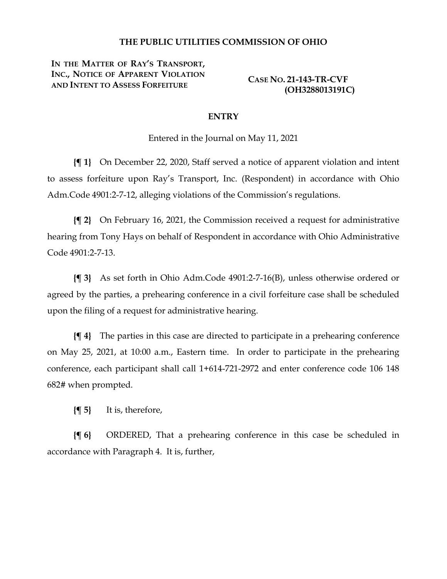## **THE PUBLIC UTILITIES COMMISSION OF OHIO**

**IN THE MATTER OF RAY'S TRANSPORT, INC., NOTICE OF APPARENT VIOLATION AND INTENT TO ASSESS FORFEITURE** 

**CASE NO. 21-143-TR-CVF (OH3288013191C)**

## **ENTRY**

Entered in the Journal on May 11, 2021

**{¶ 1}** On December 22, 2020, Staff served a notice of apparent violation and intent to assess forfeiture upon Ray's Transport, Inc. (Respondent) in accordance with Ohio Adm.Code 4901:2-7-12, alleging violations of the Commission's regulations.

**{¶ 2}** On February 16, 2021, the Commission received a request for administrative hearing from Tony Hays on behalf of Respondent in accordance with Ohio Administrative Code 4901:2-7-13.

**{¶ 3}** As set forth in Ohio Adm.Code 4901:2-7-16(B), unless otherwise ordered or agreed by the parties, a prehearing conference in a civil forfeiture case shall be scheduled upon the filing of a request for administrative hearing.

**{¶ 4}** The parties in this case are directed to participate in a prehearing conference on May 25, 2021, at 10:00 a.m., Eastern time. In order to participate in the prehearing conference, each participant shall call 1+614-721-2972 and enter conference code 106 148 682# when prompted.

**{¶ 5}** It is, therefore,

**{¶ 6}** ORDERED, That a prehearing conference in this case be scheduled in accordance with Paragraph 4. It is, further,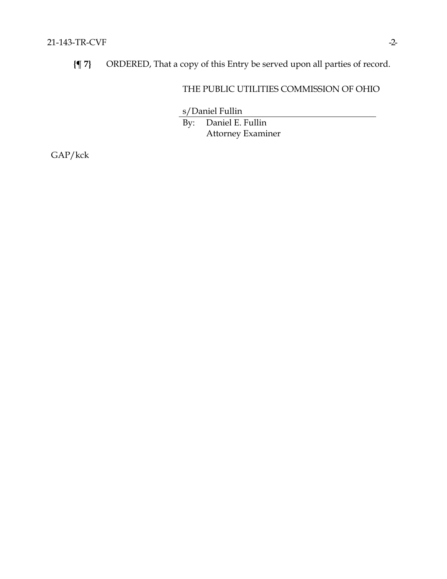**{¶ 7}** ORDERED, That a copy of this Entry be served upon all parties of record.

## THE PUBLIC UTILITIES COMMISSION OF OHIO

s/Daniel Fullin

By: Daniel E. Fullin Attorney Examiner

GAP/kck